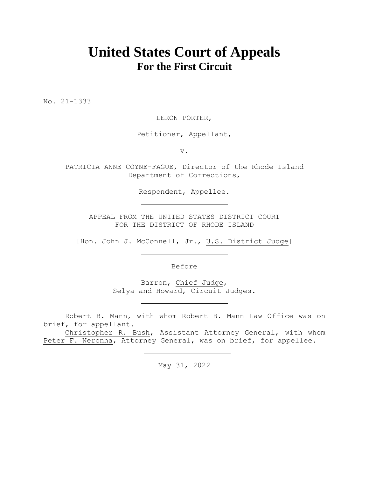# **United States Court of Appeals For the First Circuit**

No. 21-1333

LERON PORTER,

Petitioner, Appellant,

v.

PATRICIA ANNE COYNE-FAGUE, Director of the Rhode Island Department of Corrections,

Respondent, Appellee.

APPEAL FROM THE UNITED STATES DISTRICT COURT FOR THE DISTRICT OF RHODE ISLAND

[Hon. John J. McConnell, Jr., U.S. District Judge]

Before

Barron, Chief Judge, Selya and Howard, Circuit Judges.

Robert B. Mann, with whom Robert B. Mann Law Office was on brief, for appellant.

Christopher R. Bush, Assistant Attorney General, with whom Peter F. Neronha, Attorney General, was on brief, for appellee.

May 31, 2022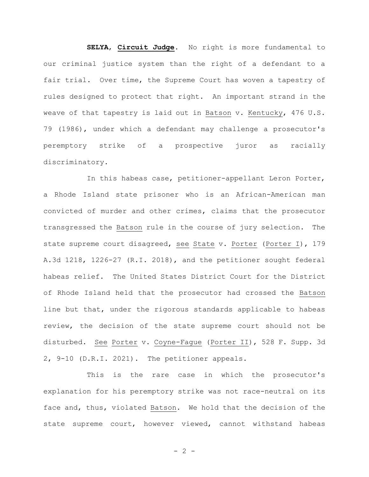**SELYA**, **Circuit Judge**. No right is more fundamental to our criminal justice system than the right of a defendant to a fair trial. Over time, the Supreme Court has woven a tapestry of rules designed to protect that right. An important strand in the weave of that tapestry is laid out in Batson v. Kentucky, 476 U.S. 79 (1986), under which a defendant may challenge a prosecutor's peremptory strike of a prospective juror as racially discriminatory.

In this habeas case, petitioner-appellant Leron Porter, a Rhode Island state prisoner who is an African-American man convicted of murder and other crimes, claims that the prosecutor transgressed the Batson rule in the course of jury selection. The state supreme court disagreed, see State v. Porter (Porter I), 179 A.3d 1218, 1226-27 (R.I. 2018), and the petitioner sought federal habeas relief. The United States District Court for the District of Rhode Island held that the prosecutor had crossed the Batson line but that, under the rigorous standards applicable to habeas review, the decision of the state supreme court should not be disturbed. See Porter v. Coyne-Fague (Porter II), 528 F. Supp. 3d 2, 9-10 (D.R.I. 2021). The petitioner appeals.

This is the rare case in which the prosecutor's explanation for his peremptory strike was not race-neutral on its face and, thus, violated Batson. We hold that the decision of the state supreme court, however viewed, cannot withstand habeas

 $- 2 -$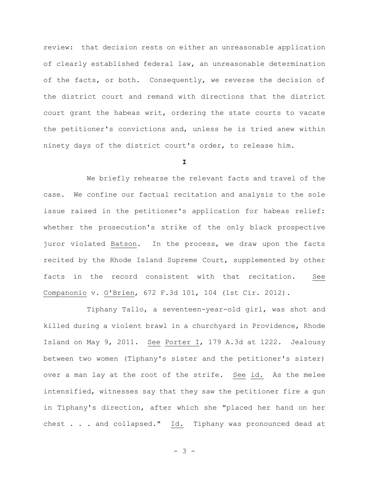review: that decision rests on either an unreasonable application of clearly established federal law, an unreasonable determination of the facts, or both. Consequently, we reverse the decision of the district court and remand with directions that the district court grant the habeas writ, ordering the state courts to vacate the petitioner's convictions and, unless he is tried anew within ninety days of the district court's order, to release him.

**I**

We briefly rehearse the relevant facts and travel of the case. We confine our factual recitation and analysis to the sole issue raised in the petitioner's application for habeas relief: whether the prosecution's strike of the only black prospective juror violated Batson. In the process, we draw upon the facts recited by the Rhode Island Supreme Court, supplemented by other facts in the record consistent with that recitation. See Companonio v. O'Brien, 672 F.3d 101, 104 (1st Cir. 2012).

Tiphany Tallo, a seventeen-year-old girl, was shot and killed during a violent brawl in a churchyard in Providence, Rhode Island on May 9, 2011. See Porter I, 179 A.3d at 1222. Jealousy between two women (Tiphany's sister and the petitioner's sister) over a man lay at the root of the strife. See id. As the melee intensified, witnesses say that they saw the petitioner fire a gun in Tiphany's direction, after which she "placed her hand on her chest . . . and collapsed." Id. Tiphany was pronounced dead at

- 3 -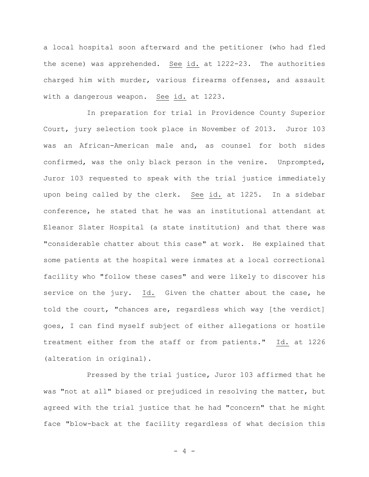a local hospital soon afterward and the petitioner (who had fled the scene) was apprehended. See id. at 1222-23. The authorities charged him with murder, various firearms offenses, and assault with a dangerous weapon. See id. at 1223.

In preparation for trial in Providence County Superior Court, jury selection took place in November of 2013. Juror 103 was an African-American male and, as counsel for both sides confirmed, was the only black person in the venire. Unprompted, Juror 103 requested to speak with the trial justice immediately upon being called by the clerk. See id. at 1225. In a sidebar conference, he stated that he was an institutional attendant at Eleanor Slater Hospital (a state institution) and that there was "considerable chatter about this case" at work. He explained that some patients at the hospital were inmates at a local correctional facility who "follow these cases" and were likely to discover his service on the jury. Id. Given the chatter about the case, he told the court, "chances are, regardless which way [the verdict] goes, I can find myself subject of either allegations or hostile treatment either from the staff or from patients." Id. at 1226 (alteration in original).

Pressed by the trial justice, Juror 103 affirmed that he was "not at all" biased or prejudiced in resolving the matter, but agreed with the trial justice that he had "concern" that he might face "blow-back at the facility regardless of what decision this

- 4 -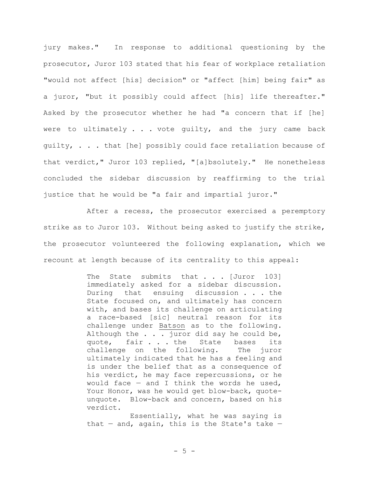jury makes." In response to additional questioning by the prosecutor, Juror 103 stated that his fear of workplace retaliation "would not affect [his] decision" or "affect [him] being fair" as a juror, "but it possibly could affect [his] life thereafter." Asked by the prosecutor whether he had "a concern that if [he] were to ultimately . . . vote guilty, and the jury came back guilty, . . . that [he] possibly could face retaliation because of that verdict," Juror 103 replied, "[a]bsolutely." He nonetheless concluded the sidebar discussion by reaffirming to the trial justice that he would be "a fair and impartial juror."

After a recess, the prosecutor exercised a peremptory strike as to Juror 103. Without being asked to justify the strike, the prosecutor volunteered the following explanation, which we recount at length because of its centrality to this appeal:

> The State submits that . . . [Juror 103] immediately asked for a sidebar discussion. During that ensuing discussion . . . the State focused on, and ultimately has concern with, and bases its challenge on articulating a race-based [sic] neutral reason for its challenge under Batson as to the following. Although the . . . juror did say he could be, quote, fair . . . the State bases its challenge on the following. The juror ultimately indicated that he has a feeling and is under the belief that as a consequence of his verdict, he may face repercussions, or he would face  $-$  and I think the words he used, Your Honor, was he would get blow-back, quoteunquote. Blow-back and concern, based on his verdict.

> Essentially, what he was saying is that  $-$  and, again, this is the State's take  $-$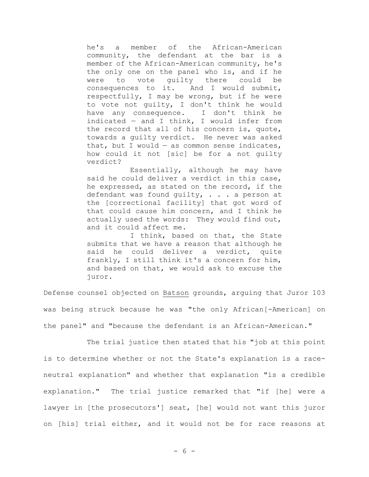he's a member of the African-American community, the defendant at the bar is a member of the African-American community, he's the only one on the panel who is, and if he were to vote guilty there could be consequences to it. And I would submit, respectfully, I may be wrong, but if he were to vote not guilty, I don't think he would have any consequence. I don't think he indicated — and I think, I would infer from the record that all of his concern is, quote, towards a guilty verdict. He never was asked that, but I would  $-$  as common sense indicates, how could it not [sic] be for a not guilty verdict?

Essentially, although he may have said he could deliver a verdict in this case, he expressed, as stated on the record, if the defendant was found guilty, . . . a person at the [correctional facility] that got word of that could cause him concern, and I think he actually used the words: They would find out, and it could affect me.

I think, based on that, the State submits that we have a reason that although he said he could deliver a verdict, quite frankly, I still think it's a concern for him, and based on that, we would ask to excuse the juror.

Defense counsel objected on Batson grounds, arguing that Juror 103 was being struck because he was "the only African[-American] on the panel" and "because the defendant is an African-American."

The trial justice then stated that his "job at this point is to determine whether or not the State's explanation is a raceneutral explanation" and whether that explanation "is a credible explanation." The trial justice remarked that "if [he] were a lawyer in [the prosecutors'] seat, [he] would not want this juror on [his] trial either, and it would not be for race reasons at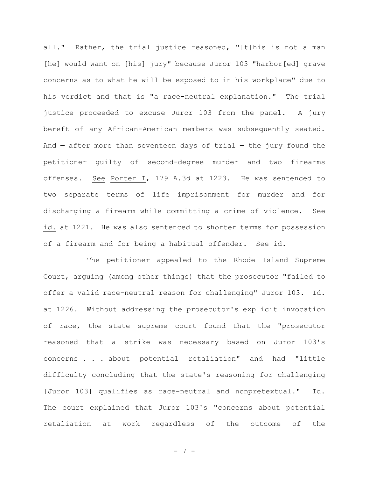all." Rather, the trial justice reasoned, "[t]his is not a man [he] would want on [his] jury" because Juror 103 "harbor[ed] grave concerns as to what he will be exposed to in his workplace" due to his verdict and that is "a race-neutral explanation." The trial justice proceeded to excuse Juror 103 from the panel. A jury bereft of any African-American members was subsequently seated. And  $-$  after more than seventeen days of trial  $-$  the jury found the petitioner guilty of second-degree murder and two firearms offenses. See Porter I, 179 A.3d at 1223. He was sentenced to two separate terms of life imprisonment for murder and for discharging a firearm while committing a crime of violence. See id. at 1221. He was also sentenced to shorter terms for possession of a firearm and for being a habitual offender. See id.

The petitioner appealed to the Rhode Island Supreme Court, arguing (among other things) that the prosecutor "failed to offer a valid race-neutral reason for challenging" Juror 103. Id. at 1226. Without addressing the prosecutor's explicit invocation of race, the state supreme court found that the "prosecutor reasoned that a strike was necessary based on Juror 103's concerns . . . about potential retaliation" and had "little difficulty concluding that the state's reasoning for challenging [Juror 103] qualifies as race-neutral and nonpretextual." Id. The court explained that Juror 103's "concerns about potential retaliation at work regardless of the outcome of the

- 7 -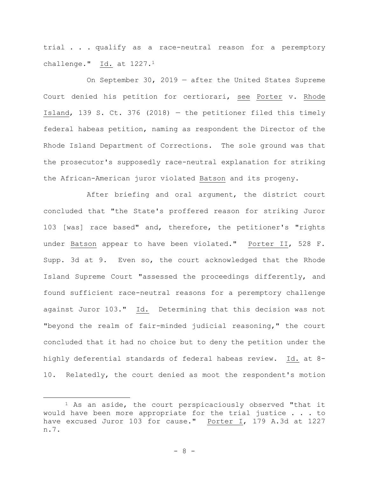trial . . . qualify as a race-neutral reason for a peremptory challenge."  $Id.$  at  $1227.1$ 

On September 30, 2019 — after the United States Supreme Court denied his petition for certiorari, see Porter v. Rhode Island, 139 S. Ct. 376 (2018) — the petitioner filed this timely federal habeas petition, naming as respondent the Director of the Rhode Island Department of Corrections. The sole ground was that the prosecutor's supposedly race-neutral explanation for striking the African-American juror violated Batson and its progeny.

After briefing and oral argument, the district court concluded that "the State's proffered reason for striking Juror 103 [was] race based" and, therefore, the petitioner's "rights under Batson appear to have been violated." Porter II, 528 F. Supp. 3d at 9. Even so, the court acknowledged that the Rhode Island Supreme Court "assessed the proceedings differently, and found sufficient race-neutral reasons for a peremptory challenge against Juror 103." Id. Determining that this decision was not "beyond the realm of fair-minded judicial reasoning," the court concluded that it had no choice but to deny the petition under the highly deferential standards of federal habeas review. Id. at 8- 10. Relatedly, the court denied as moot the respondent's motion

<sup>&</sup>lt;sup>1</sup> As an aside, the court perspicaciously observed "that it would have been more appropriate for the trial justice . . . to have excused Juror 103 for cause." Porter I, 179 A.3d at 1227 n.7.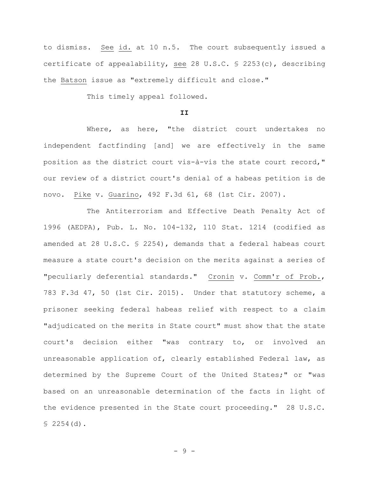to dismiss. See id. at 10 n.5. The court subsequently issued a certificate of appealability, see 28 U.S.C. § 2253(c), describing the Batson issue as "extremely difficult and close."

This timely appeal followed.

### **II**

Where, as here, "the district court undertakes no independent factfinding [and] we are effectively in the same position as the district court vis-à-vis the state court record," our review of a district court's denial of a habeas petition is de novo. Pike v. Guarino, 492 F.3d 61, 68 (1st Cir. 2007).

The Antiterrorism and Effective Death Penalty Act of 1996 (AEDPA), Pub. L. No. 104-132, 110 Stat. 1214 (codified as amended at 28 U.S.C. § 2254), demands that a federal habeas court measure a state court's decision on the merits against a series of "peculiarly deferential standards." Cronin v. Comm'r of Prob., 783 F.3d 47, 50 (1st Cir. 2015). Under that statutory scheme, a prisoner seeking federal habeas relief with respect to a claim "adjudicated on the merits in State court" must show that the state court's decision either "was contrary to, or involved an unreasonable application of, clearly established Federal law, as determined by the Supreme Court of the United States;" or "was based on an unreasonable determination of the facts in light of the evidence presented in the State court proceeding." 28 U.S.C. § 2254(d).

- 9 -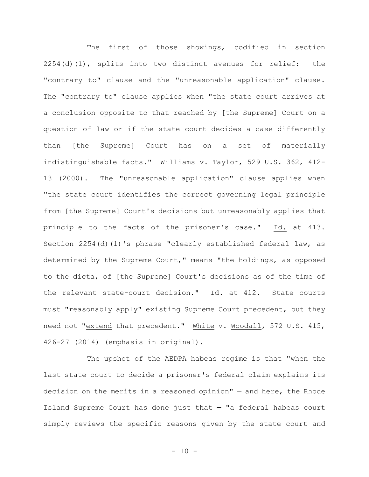The first of those showings, codified in section 2254(d)(1), splits into two distinct avenues for relief: the "contrary to" clause and the "unreasonable application" clause. The "contrary to" clause applies when "the state court arrives at a conclusion opposite to that reached by [the Supreme] Court on a question of law or if the state court decides a case differently than [the Supreme] Court has on a set of materially indistinguishable facts." Williams v. Taylor, 529 U.S. 362, 412- 13 (2000). The "unreasonable application" clause applies when "the state court identifies the correct governing legal principle from [the Supreme] Court's decisions but unreasonably applies that principle to the facts of the prisoner's case." Id. at 413. Section 2254(d)(1)'s phrase "clearly established federal law, as determined by the Supreme Court," means "the holdings, as opposed to the dicta, of [the Supreme] Court's decisions as of the time of the relevant state-court decision." Id. at 412. State courts must "reasonably apply" existing Supreme Court precedent, but they need not "extend that precedent." White v. Woodall, 572 U.S. 415, 426-27 (2014) (emphasis in original).

The upshot of the AEDPA habeas regime is that "when the last state court to decide a prisoner's federal claim explains its decision on the merits in a reasoned opinion" — and here, the Rhode Island Supreme Court has done just that  $-$  "a federal habeas court simply reviews the specific reasons given by the state court and

 $- 10 -$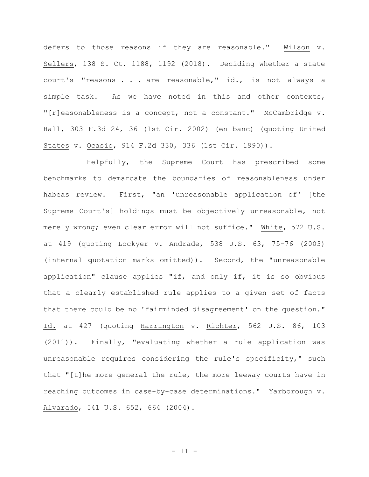defers to those reasons if they are reasonable." Wilson v. Sellers, 138 S. Ct. 1188, 1192 (2018). Deciding whether a state court's "reasons . . . are reasonable," id., is not always a simple task. As we have noted in this and other contexts, "[r]easonableness is a concept, not a constant." McCambridge v. Hall, 303 F.3d 24, 36 (1st Cir. 2002) (en banc) (quoting United States v. Ocasio, 914 F.2d 330, 336 (1st Cir. 1990)).

Helpfully, the Supreme Court has prescribed some benchmarks to demarcate the boundaries of reasonableness under habeas review. First, "an 'unreasonable application of' [the Supreme Court's] holdings must be objectively unreasonable, not merely wrong; even clear error will not suffice." White, 572 U.S. at 419 (quoting Lockyer v. Andrade, 538 U.S. 63, 75-76 (2003) (internal quotation marks omitted)). Second, the "unreasonable application" clause applies "if, and only if, it is so obvious that a clearly established rule applies to a given set of facts that there could be no 'fairminded disagreement' on the question." Id. at 427 (quoting Harrington v. Richter, 562 U.S. 86, 103 (2011)). Finally, "evaluating whether a rule application was unreasonable requires considering the rule's specificity," such that "[t]he more general the rule, the more leeway courts have in reaching outcomes in case-by-case determinations." Yarborough v. Alvarado, 541 U.S. 652, 664 (2004).

- 11 -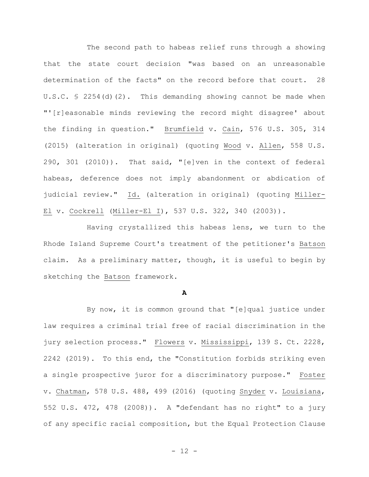The second path to habeas relief runs through a showing that the state court decision "was based on an unreasonable determination of the facts" on the record before that court. 28 U.S.C. § 2254(d)(2). This demanding showing cannot be made when "'[r]easonable minds reviewing the record might disagree' about the finding in question." Brumfield v. Cain, 576 U.S. 305, 314 (2015) (alteration in original) (quoting Wood v. Allen, 558 U.S. 290, 301 (2010)). That said, "[e]ven in the context of federal habeas, deference does not imply abandonment or abdication of judicial review." Id. (alteration in original) (quoting Miller-El v. Cockrell (Miller-El I), 537 U.S. 322, 340 (2003)).

Having crystallized this habeas lens, we turn to the Rhode Island Supreme Court's treatment of the petitioner's Batson claim. As a preliminary matter, though, it is useful to begin by sketching the Batson framework.

#### **A**

By now, it is common ground that "[e]qual justice under law requires a criminal trial free of racial discrimination in the jury selection process." Flowers v. Mississippi, 139 S. Ct. 2228, 2242 (2019). To this end, the "Constitution forbids striking even a single prospective juror for a discriminatory purpose." Foster v. Chatman, 578 U.S. 488, 499 (2016) (quoting Snyder v. Louisiana, 552 U.S. 472, 478 (2008)). A "defendant has no right" to a jury of any specific racial composition, but the Equal Protection Clause

- 12 -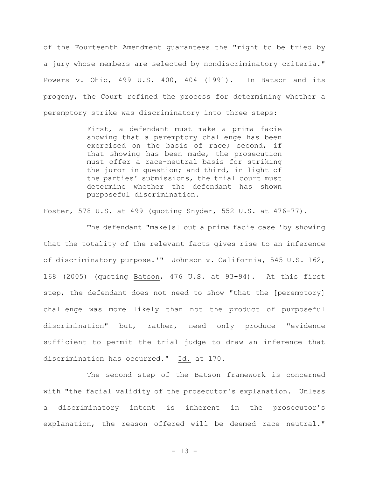of the Fourteenth Amendment guarantees the "right to be tried by a jury whose members are selected by nondiscriminatory criteria." Powers v. Ohio, 499 U.S. 400, 404 (1991). In Batson and its progeny, the Court refined the process for determining whether a peremptory strike was discriminatory into three steps:

> First, a defendant must make a prima facie showing that a peremptory challenge has been exercised on the basis of race; second, if that showing has been made, the prosecution must offer a race-neutral basis for striking the juror in question; and third, in light of the parties' submissions, the trial court must determine whether the defendant has shown purposeful discrimination.

Foster, 578 U.S. at 499 (quoting Snyder, 552 U.S. at 476-77).

The defendant "make[s] out a prima facie case 'by showing that the totality of the relevant facts gives rise to an inference of discriminatory purpose.'" Johnson v. California, 545 U.S. 162, 168 (2005) (quoting Batson, 476 U.S. at 93-94). At this first step, the defendant does not need to show "that the [peremptory] challenge was more likely than not the product of purposeful discrimination" but, rather, need only produce "evidence sufficient to permit the trial judge to draw an inference that discrimination has occurred." Id. at 170.

The second step of the Batson framework is concerned with "the facial validity of the prosecutor's explanation. Unless a discriminatory intent is inherent in the prosecutor's explanation, the reason offered will be deemed race neutral."

- 13 -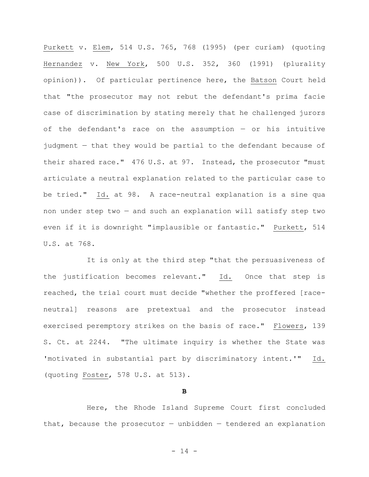Purkett v. Elem, 514 U.S. 765, 768 (1995) (per curiam) (quoting Hernandez v. New York, 500 U.S. 352, 360 (1991) (plurality opinion)). Of particular pertinence here, the Batson Court held that "the prosecutor may not rebut the defendant's prima facie case of discrimination by stating merely that he challenged jurors of the defendant's race on the assumption — or his intuitive judgment — that they would be partial to the defendant because of their shared race." 476 U.S. at 97. Instead, the prosecutor "must articulate a neutral explanation related to the particular case to be tried." Id. at 98. A race-neutral explanation is a sine qua non under step two — and such an explanation will satisfy step two even if it is downright "implausible or fantastic." Purkett, 514 U.S. at 768.

It is only at the third step "that the persuasiveness of the justification becomes relevant." Id. Once that step is reached, the trial court must decide "whether the proffered [raceneutral] reasons are pretextual and the prosecutor instead exercised peremptory strikes on the basis of race." Flowers, 139 S. Ct. at 2244. "The ultimate inquiry is whether the State was 'motivated in substantial part by discriminatory intent.'" Id. (quoting Foster, 578 U.S. at 513).

**B**

Here, the Rhode Island Supreme Court first concluded that, because the prosecutor  $-$  unbidden  $-$  tendered an explanation

- 14 -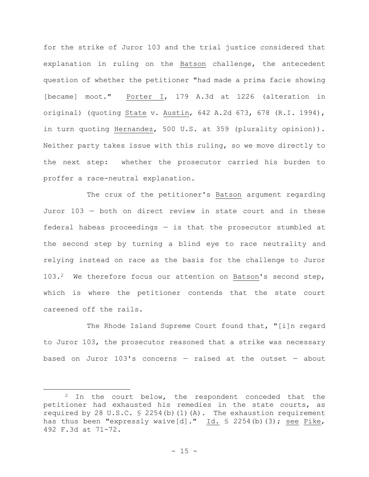for the strike of Juror 103 and the trial justice considered that explanation in ruling on the Batson challenge, the antecedent question of whether the petitioner "had made a prima facie showing [became] moot." Porter I, 179 A.3d at 1226 (alteration in original) (quoting State v. Austin, 642 A.2d 673, 678 (R.I. 1994), in turn quoting Hernandez, 500 U.S. at 359 (plurality opinion)). Neither party takes issue with this ruling, so we move directly to the next step: whether the prosecutor carried his burden to proffer a race-neutral explanation.

The crux of the petitioner's Batson argument regarding Juror 103 — both on direct review in state court and in these federal habeas proceedings — is that the prosecutor stumbled at the second step by turning a blind eye to race neutrality and relying instead on race as the basis for the challenge to Juror 103.2 We therefore focus our attention on Batson's second step, which is where the petitioner contends that the state court careened off the rails.

The Rhode Island Supreme Court found that, "[i]n regard to Juror 103, the prosecutor reasoned that a strike was necessary based on Juror 103's concerns — raised at the outset — about

<sup>&</sup>lt;sup>2</sup> In the court below, the respondent conceded that the petitioner had exhausted his remedies in the state courts, as required by 28 U.S.C. § 2254(b)(1)(A). The exhaustion requirement has thus been "expressly waive[d]." Id. § 2254(b)(3); see Pike, 492 F.3d at 71-72.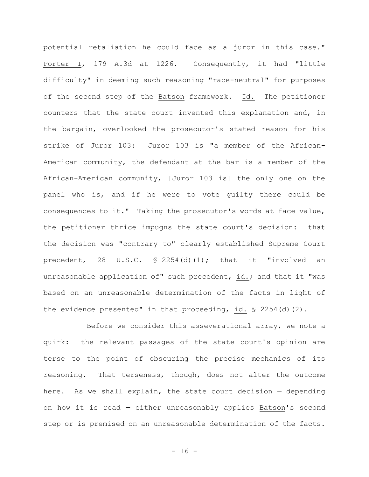potential retaliation he could face as a juror in this case." Porter I, 179 A.3d at 1226. Consequently, it had "little difficulty" in deeming such reasoning "race-neutral" for purposes of the second step of the Batson framework. Id. The petitioner counters that the state court invented this explanation and, in the bargain, overlooked the prosecutor's stated reason for his strike of Juror 103: Juror 103 is "a member of the African-American community, the defendant at the bar is a member of the African-American community, [Juror 103 is] the only one on the panel who is, and if he were to vote guilty there could be consequences to it." Taking the prosecutor's words at face value, the petitioner thrice impugns the state court's decision: that the decision was "contrary to" clearly established Supreme Court precedent, 28 U.S.C. § 2254(d)(1); that it "involved an unreasonable application of" such precedent, id.; and that it "was based on an unreasonable determination of the facts in light of the evidence presented" in that proceeding, id. § 2254(d)(2).

Before we consider this asseverational array, we note a quirk: the relevant passages of the state court's opinion are terse to the point of obscuring the precise mechanics of its reasoning. That terseness, though, does not alter the outcome here. As we shall explain, the state court decision — depending on how it is read — either unreasonably applies Batson's second step or is premised on an unreasonable determination of the facts.

 $- 16 -$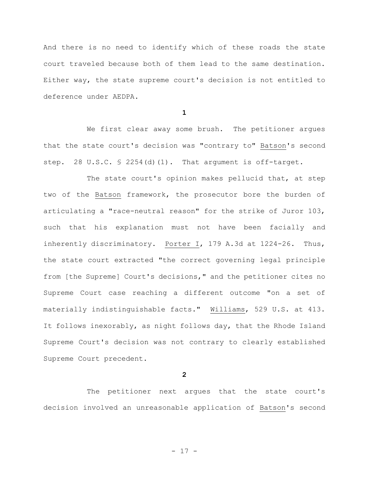And there is no need to identify which of these roads the state court traveled because both of them lead to the same destination. Either way, the state supreme court's decision is not entitled to deference under AEDPA.

**1**

We first clear away some brush. The petitioner argues that the state court's decision was "contrary to" Batson's second step. 28 U.S.C. § 2254(d)(1). That argument is off-target.

The state court's opinion makes pellucid that, at step two of the Batson framework, the prosecutor bore the burden of articulating a "race-neutral reason" for the strike of Juror 103, such that his explanation must not have been facially and inherently discriminatory. Porter I, 179 A.3d at 1224-26. Thus, the state court extracted "the correct governing legal principle from [the Supreme] Court's decisions," and the petitioner cites no Supreme Court case reaching a different outcome "on a set of materially indistinguishable facts." Williams, 529 U.S. at 413. It follows inexorably, as night follows day, that the Rhode Island Supreme Court's decision was not contrary to clearly established Supreme Court precedent.

**2**

The petitioner next argues that the state court's decision involved an unreasonable application of Batson's second

- 17 -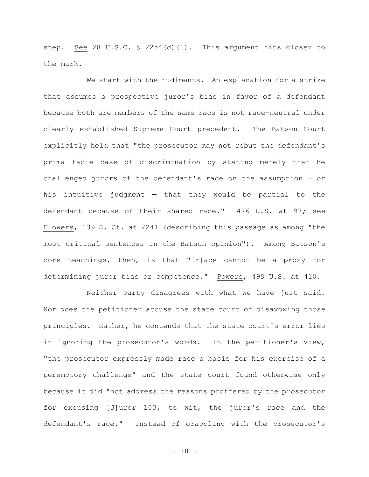step. See 28 U.S.C. § 2254(d)(1). This argument hits closer to the mark.

We start with the rudiments. An explanation for a strike that assumes a prospective juror's bias in favor of a defendant because both are members of the same race is not race-neutral under clearly established Supreme Court precedent. The Batson Court explicitly held that "the prosecutor may not rebut the defendant's prima facie case of discrimination by stating merely that he challenged jurors of the defendant's race on the assumption — or his intuitive judgment  $-$  that they would be partial to the defendant because of their shared race." 476 U.S. at 97; see Flowers, 139 S. Ct. at 2241 (describing this passage as among "the most critical sentences in the Batson opinion"). Among Batson's core teachings, then, is that "[r]ace cannot be a proxy for determining juror bias or competence." Powers, 499 U.S. at 410.

Neither party disagrees with what we have just said. Nor does the petitioner accuse the state court of disavowing those principles. Rather, he contends that the state court's error lies in ignoring the prosecutor's words. In the petitioner's view, "the prosecutor expressly made race a basis for his exercise of a peremptory challenge" and the state court found otherwise only because it did "not address the reasons proffered by the prosecutor for excusing [J]uror 103, to wit, the juror's race and the defendant's race." Instead of grappling with the prosecutor's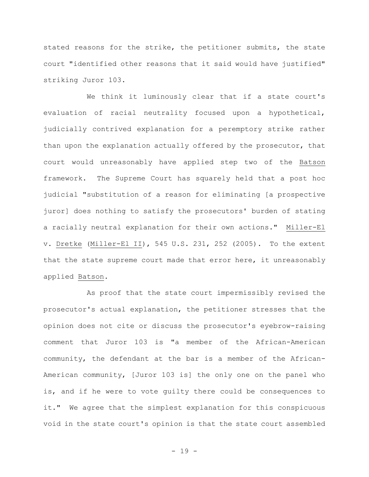stated reasons for the strike, the petitioner submits, the state court "identified other reasons that it said would have justified" striking Juror 103.

We think it luminously clear that if a state court's evaluation of racial neutrality focused upon a hypothetical, judicially contrived explanation for a peremptory strike rather than upon the explanation actually offered by the prosecutor, that court would unreasonably have applied step two of the Batson framework. The Supreme Court has squarely held that a post hoc judicial "substitution of a reason for eliminating [a prospective juror] does nothing to satisfy the prosecutors' burden of stating a racially neutral explanation for their own actions." Miller-El v. Dretke (Miller-El II), 545 U.S. 231, 252 (2005). To the extent that the state supreme court made that error here, it unreasonably applied Batson.

As proof that the state court impermissibly revised the prosecutor's actual explanation, the petitioner stresses that the opinion does not cite or discuss the prosecutor's eyebrow-raising comment that Juror 103 is "a member of the African-American community, the defendant at the bar is a member of the African-American community, [Juror 103 is] the only one on the panel who is, and if he were to vote guilty there could be consequences to it." We agree that the simplest explanation for this conspicuous void in the state court's opinion is that the state court assembled

- 19 -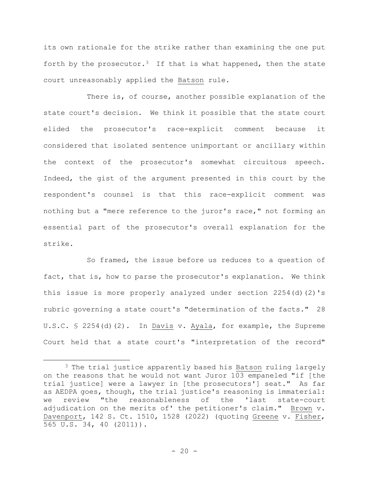its own rationale for the strike rather than examining the one put forth by the prosecutor.<sup>3</sup> If that is what happened, then the state court unreasonably applied the Batson rule.

There is, of course, another possible explanation of the state court's decision. We think it possible that the state court elided the prosecutor's race-explicit comment because it considered that isolated sentence unimportant or ancillary within the context of the prosecutor's somewhat circuitous speech. Indeed, the gist of the argument presented in this court by the respondent's counsel is that this race-explicit comment was nothing but a "mere reference to the juror's race," not forming an essential part of the prosecutor's overall explanation for the strike.

So framed, the issue before us reduces to a question of fact, that is, how to parse the prosecutor's explanation. We think this issue is more properly analyzed under section 2254(d)(2)'s rubric governing a state court's "determination of the facts." 28 U.S.C. § 2254(d)(2). In Davis v. Ayala, for example, the Supreme Court held that a state court's "interpretation of the record"

<sup>3</sup> The trial justice apparently based his Batson ruling largely on the reasons that he would not want Juror 103 empaneled "if [the trial justice] were a lawyer in [the prosecutors'] seat." As far as AEDPA goes, though, the trial justice's reasoning is immaterial: we review "the reasonableness of the 'last state-court adjudication on the merits of' the petitioner's claim." Brown v. Davenport, 142 S. Ct. 1510, 1528 (2022) (quoting Greene v. Fisher, 565 U.S. 34, 40 (2011)).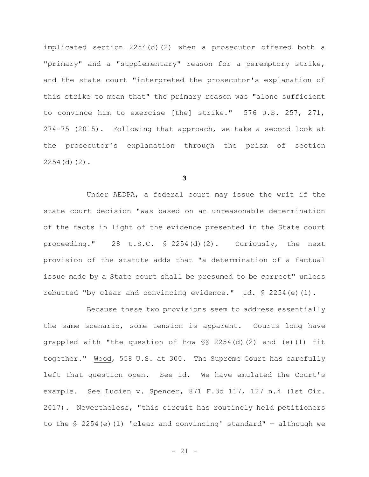implicated section 2254(d)(2) when a prosecutor offered both a "primary" and a "supplementary" reason for a peremptory strike, and the state court "interpreted the prosecutor's explanation of this strike to mean that" the primary reason was "alone sufficient to convince him to exercise [the] strike." 576 U.S. 257, 271, 274-75 (2015). Following that approach, we take a second look at the prosecutor's explanation through the prism of section 2254(d)(2).

**3**

Under AEDPA, a federal court may issue the writ if the state court decision "was based on an unreasonable determination of the facts in light of the evidence presented in the State court proceeding." 28 U.S.C. § 2254(d)(2). Curiously, the next provision of the statute adds that "a determination of a factual issue made by a State court shall be presumed to be correct" unless rebutted "by clear and convincing evidence." Id. § 2254(e)(1).

Because these two provisions seem to address essentially the same scenario, some tension is apparent. Courts long have grappled with "the question of how §§ 2254(d)(2) and (e)(1) fit together." Wood, 558 U.S. at 300. The Supreme Court has carefully left that question open. See id. We have emulated the Court's example. See Lucien v. Spencer, 871 F.3d 117, 127 n.4 (1st Cir. 2017). Nevertheless, "this circuit has routinely held petitioners to the  $\frac{1}{2254}$ (e)(1) 'clear and convincing' standard" - although we

- 21 -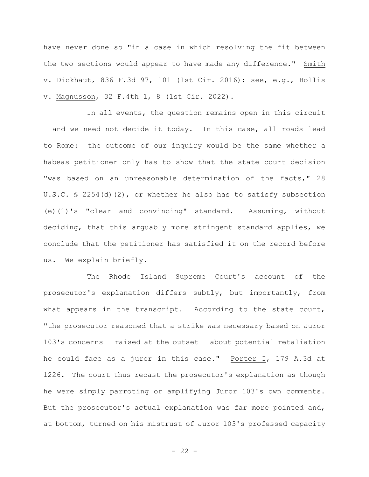have never done so "in a case in which resolving the fit between the two sections would appear to have made any difference." Smith v. Dickhaut, 836 F.3d 97, 101 (1st Cir. 2016); see, e.g., Hollis v. Magnusson, 32 F.4th 1, 8 (1st Cir. 2022).

In all events, the question remains open in this circuit — and we need not decide it today. In this case, all roads lead to Rome: the outcome of our inquiry would be the same whether a habeas petitioner only has to show that the state court decision "was based on an unreasonable determination of the facts," 28 U.S.C. § 2254(d)(2), or whether he also has to satisfy subsection (e)(1)'s "clear and convincing" standard. Assuming, without deciding, that this arguably more stringent standard applies, we conclude that the petitioner has satisfied it on the record before us. We explain briefly.

The Rhode Island Supreme Court's account of the prosecutor's explanation differs subtly, but importantly, from what appears in the transcript. According to the state court, "the prosecutor reasoned that a strike was necessary based on Juror 103's concerns — raised at the outset — about potential retaliation he could face as a juror in this case." Porter I, 179 A.3d at 1226. The court thus recast the prosecutor's explanation as though he were simply parroting or amplifying Juror 103's own comments. But the prosecutor's actual explanation was far more pointed and, at bottom, turned on his mistrust of Juror 103's professed capacity

 $- 22 -$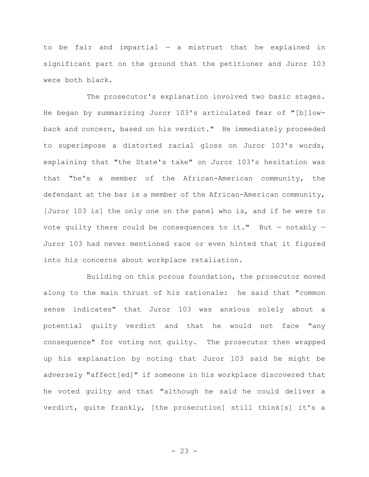to be fair and impartial  $-$  a mistrust that he explained in significant part on the ground that the petitioner and Juror 103 were both black.

The prosecutor's explanation involved two basic stages. He began by summarizing Juror 103's articulated fear of "[b]lowback and concern, based on his verdict." He immediately proceeded to superimpose a distorted racial gloss on Juror 103's words, explaining that "the State's take" on Juror 103's hesitation was that "he's a member of the African-American community, the defendant at the bar is a member of the African-American community, [Juror 103 is] the only one on the panel who is, and if he were to vote quilty there could be consequences to it." But  $-$  notably  $-$ Juror 103 had never mentioned race or even hinted that it figured into his concerns about workplace retaliation.

Building on this porous foundation, the prosecutor moved along to the main thrust of his rationale: he said that "common sense indicates" that Juror 103 was anxious solely about a potential guilty verdict and that he would not face "any consequence" for voting not guilty. The prosecutor then wrapped up his explanation by noting that Juror 103 said he might be adversely "affect[ed]" if someone in his workplace discovered that he voted guilty and that "although he said he could deliver a verdict, quite frankly, [the prosecution] still think[s] it's a

- 23 -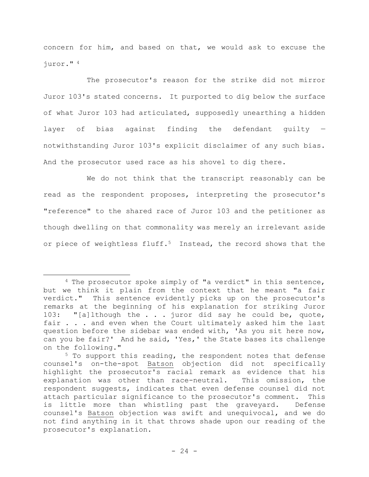concern for him, and based on that, we would ask to excuse the juror." <sup>4</sup>

The prosecutor's reason for the strike did not mirror Juror 103's stated concerns. It purported to dig below the surface of what Juror 103 had articulated, supposedly unearthing a hidden layer of bias against finding the defendant guilty notwithstanding Juror 103's explicit disclaimer of any such bias. And the prosecutor used race as his shovel to dig there.

We do not think that the transcript reasonably can be read as the respondent proposes, interpreting the prosecutor's "reference" to the shared race of Juror 103 and the petitioner as though dwelling on that commonality was merely an irrelevant aside or piece of weightless fluff.<sup>5</sup> Instead, the record shows that the

<sup>&</sup>lt;sup>4</sup> The prosecutor spoke simply of "a verdict" in this sentence, but we think it plain from the context that he meant "a fair verdict." This sentence evidently picks up on the prosecutor's remarks at the beginning of his explanation for striking Juror 103: "[a]lthough the . . . juror did say he could be, quote, fair . . . and even when the Court ultimately asked him the last question before the sidebar was ended with, 'As you sit here now, can you be fair?' And he said, 'Yes,' the State bases its challenge on the following."

<sup>5</sup> To support this reading, the respondent notes that defense counsel's on-the-spot Batson objection did not specifically highlight the prosecutor's racial remark as evidence that his explanation was other than race-neutral. This omission, the respondent suggests, indicates that even defense counsel did not attach particular significance to the prosecutor's comment. This is little more than whistling past the graveyard. Defense counsel's Batson objection was swift and unequivocal, and we do not find anything in it that throws shade upon our reading of the prosecutor's explanation.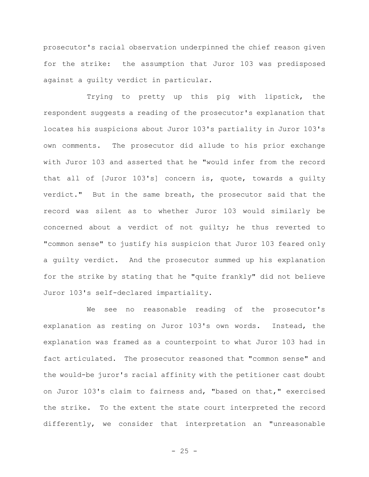prosecutor's racial observation underpinned the chief reason given for the strike: the assumption that Juror 103 was predisposed against a guilty verdict in particular.

Trying to pretty up this pig with lipstick, the respondent suggests a reading of the prosecutor's explanation that locates his suspicions about Juror 103's partiality in Juror 103's own comments. The prosecutor did allude to his prior exchange with Juror 103 and asserted that he "would infer from the record that all of [Juror 103's] concern is, quote, towards a guilty verdict." But in the same breath, the prosecutor said that the record was silent as to whether Juror 103 would similarly be concerned about a verdict of not guilty; he thus reverted to "common sense" to justify his suspicion that Juror 103 feared only a guilty verdict. And the prosecutor summed up his explanation for the strike by stating that he "quite frankly" did not believe Juror 103's self-declared impartiality.

We see no reasonable reading of the prosecutor's explanation as resting on Juror 103's own words. Instead, the explanation was framed as a counterpoint to what Juror 103 had in fact articulated. The prosecutor reasoned that "common sense" and the would-be juror's racial affinity with the petitioner cast doubt on Juror 103's claim to fairness and, "based on that," exercised the strike. To the extent the state court interpreted the record differently, we consider that interpretation an "unreasonable

- 25 -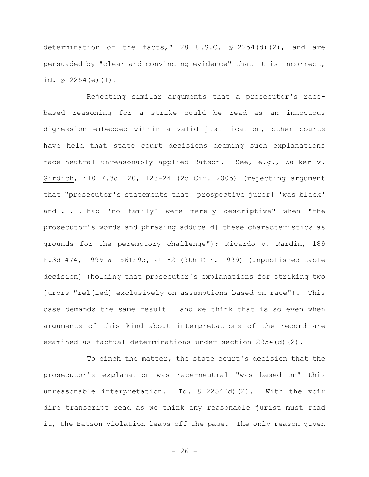determination of the facts," 28 U.S.C.  $\frac{1}{2}$  2254(d)(2), and are persuaded by "clear and convincing evidence" that it is incorrect, id. § 2254(e)(1).

Rejecting similar arguments that a prosecutor's racebased reasoning for a strike could be read as an innocuous digression embedded within a valid justification, other courts have held that state court decisions deeming such explanations race-neutral unreasonably applied Batson. See, e.g., Walker v. Girdich, 410 F.3d 120, 123-24 (2d Cir. 2005) (rejecting argument that "prosecutor's statements that [prospective juror] 'was black' and . . . had 'no family' were merely descriptive" when "the prosecutor's words and phrasing adduce[d] these characteristics as grounds for the peremptory challenge"); Ricardo v. Rardin, 189 F.3d 474, 1999 WL 561595, at \*2 (9th Cir. 1999) (unpublished table decision) (holding that prosecutor's explanations for striking two jurors "rel[ied] exclusively on assumptions based on race"). This case demands the same result  $-$  and we think that is so even when arguments of this kind about interpretations of the record are examined as factual determinations under section 2254(d)(2).

To cinch the matter, the state court's decision that the prosecutor's explanation was race-neutral "was based on" this unreasonable interpretation. Id. § 2254(d)(2). With the voir dire transcript read as we think any reasonable jurist must read it, the Batson violation leaps off the page. The only reason given

 $- 26 -$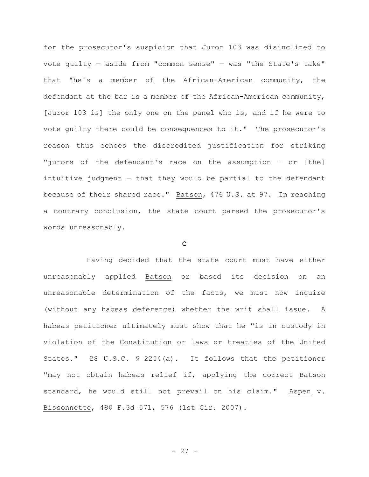for the prosecutor's suspicion that Juror 103 was disinclined to vote quilty  $-$  aside from "common sense"  $-$  was "the State's take" that "he's a member of the African-American community, the defendant at the bar is a member of the African-American community, [Juror 103 is] the only one on the panel who is, and if he were to vote guilty there could be consequences to it." The prosecutor's reason thus echoes the discredited justification for striking "jurors of the defendant's race on the assumption — or [the] intuitive judgment  $-$  that they would be partial to the defendant because of their shared race." Batson, 476 U.S. at 97. In reaching a contrary conclusion, the state court parsed the prosecutor's words unreasonably.

#### **C**

Having decided that the state court must have either unreasonably applied Batson or based its decision on an unreasonable determination of the facts, we must now inquire (without any habeas deference) whether the writ shall issue. A habeas petitioner ultimately must show that he "is in custody in violation of the Constitution or laws or treaties of the United States." 28 U.S.C. § 2254(a). It follows that the petitioner "may not obtain habeas relief if, applying the correct Batson standard, he would still not prevail on his claim." Aspen v. Bissonnette, 480 F.3d 571, 576 (1st Cir. 2007).

- 27 -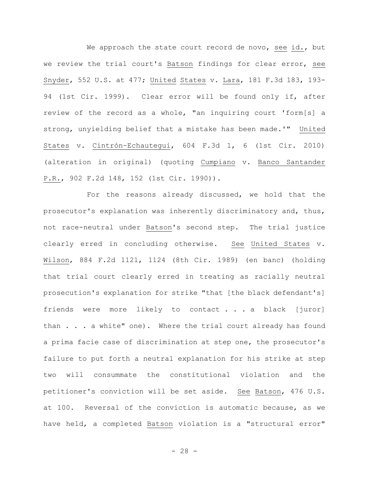We approach the state court record de novo, see id., but we review the trial court's Batson findings for clear error, see Snyder, 552 U.S. at 477; United States v. Lara, 181 F.3d 183, 193- 94 (1st Cir. 1999). Clear error will be found only if, after review of the record as a whole, "an inquiring court 'form[s] a strong, unyielding belief that a mistake has been made.'" United States v. Cintrón–Echautegui, 604 F.3d 1, 6 (1st Cir. 2010) (alteration in original) (quoting Cumpiano v. Banco Santander P.R., 902 F.2d 148, 152 (1st Cir. 1990)).

For the reasons already discussed, we hold that the prosecutor's explanation was inherently discriminatory and, thus, not race-neutral under Batson's second step. The trial justice clearly erred in concluding otherwise. See United States v. Wilson, 884 F.2d 1121, 1124 (8th Cir. 1989) (en banc) (holding that trial court clearly erred in treating as racially neutral prosecution's explanation for strike "that [the black defendant's] friends were more likely to contact . . . a black [juror] than . . . a white" one). Where the trial court already has found a prima facie case of discrimination at step one, the prosecutor's failure to put forth a neutral explanation for his strike at step two will consummate the constitutional violation and the petitioner's conviction will be set aside. See Batson, 476 U.S. at 100. Reversal of the conviction is automatic because, as we have held, a completed Batson violation is a "structural error"

 $- 28 -$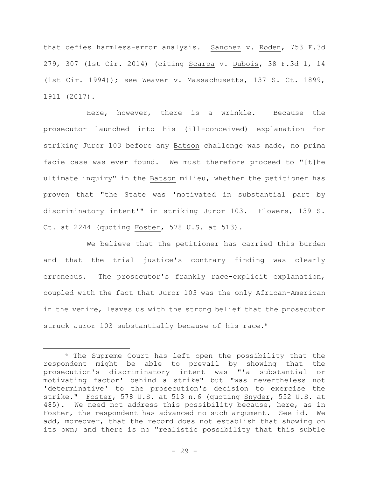that defies harmless-error analysis. Sanchez v. Roden, 753 F.3d 279, 307 (1st Cir. 2014) (citing Scarpa v. Dubois, 38 F.3d 1, 14 (1st Cir. 1994)); see Weaver v. Massachusetts, 137 S. Ct. 1899, 1911 (2017).

Here, however, there is a wrinkle. Because the prosecutor launched into his (ill-conceived) explanation for striking Juror 103 before any Batson challenge was made, no prima facie case was ever found. We must therefore proceed to "[t]he ultimate inquiry" in the Batson milieu, whether the petitioner has proven that "the State was 'motivated in substantial part by discriminatory intent'" in striking Juror 103. Flowers, 139 S. Ct. at 2244 (quoting Foster, 578 U.S. at 513).

We believe that the petitioner has carried this burden and that the trial justice's contrary finding was clearly erroneous. The prosecutor's frankly race-explicit explanation, coupled with the fact that Juror 103 was the only African-American in the venire, leaves us with the strong belief that the prosecutor struck Juror 103 substantially because of his race.<sup>6</sup>

<sup>6</sup> The Supreme Court has left open the possibility that the respondent might be able to prevail by showing that the prosecution's discriminatory intent was "'a substantial or motivating factor' behind a strike" but "was nevertheless not 'determinative' to the prosecution's decision to exercise the strike." Foster, 578 U.S. at 513 n.6 (quoting Snyder, 552 U.S. at 485). We need not address this possibility because, here, as in Foster, the respondent has advanced no such argument. See id. We add, moreover, that the record does not establish that showing on its own; and there is no "realistic possibility that this subtle